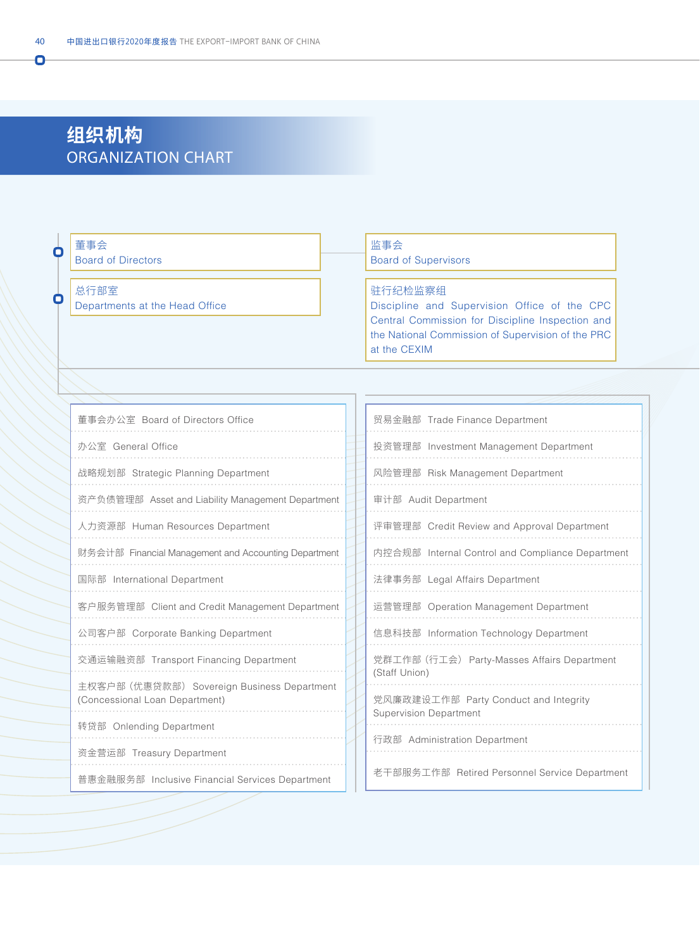# **组织机构** ORGANIZATION CHART

| О | 董事会<br><b>Board of Directors</b>                                              |  | 监事会<br><b>Board of Supervisors</b>                                                                                                                                               |  |
|---|-------------------------------------------------------------------------------|--|----------------------------------------------------------------------------------------------------------------------------------------------------------------------------------|--|
| О | 总行部室<br>Departments at the Head Office                                        |  | 驻行纪检监察组<br>Discipline and Supervision Office of the CPC<br>Central Commission for Discipline Inspection and<br>the National Commission of Supervision of the PRC<br>at the CEXIM |  |
|   |                                                                               |  |                                                                                                                                                                                  |  |
|   | 董事会办公室 Board of Directors Office                                              |  | 贸易金融部 Trade Finance Department                                                                                                                                                   |  |
|   | 办公室 General Office                                                            |  | 投资管理部 Investment Management Department                                                                                                                                           |  |
|   | 战略规划部 Strategic Planning Department                                           |  | 风险管理部 Risk Management Department                                                                                                                                                 |  |
|   | 资产负债管理部 Asset and Liability Management Department                             |  | 审计部 Audit Department                                                                                                                                                             |  |
|   | 人力资源部 Human Resources Department                                              |  | 评审管理部 Credit Review and Approval Department                                                                                                                                      |  |
|   | 财务会计部 Financial Management and Accounting Department                          |  | 内控合规部 Internal Control and Compliance Department                                                                                                                                 |  |
|   | 国际部 International Department                                                  |  | 法律事务部 Legal Affairs Department                                                                                                                                                   |  |
|   | 客户服务管理部 Client and Credit Management Department                               |  | 运营管理部 Operation Management Department                                                                                                                                            |  |
|   | 公司客户部 Corporate Banking Department                                            |  | 信息科技部 Information Technology Department                                                                                                                                          |  |
|   | 交通运输融资部 Transport Financing Department                                        |  | 党群工作部 (行工会) Party-Masses Affairs Department<br>(Staff Union)                                                                                                                     |  |
|   | 主权客户部 (优惠贷款部) Sovereign Business Department<br>(Concessional Loan Department) |  | 党风廉政建设工作部 Party Conduct and Integrity<br><b>Supervision Department</b>                                                                                                           |  |
|   | 转贷部 Onlending Department                                                      |  | 行政部 Administration Department                                                                                                                                                    |  |
|   | 资金营运部 Treasury Department<br>普惠金融服务部 Inclusive Financial Services Department  |  | 老干部服务工作部 Retired Personnel Service Department                                                                                                                                    |  |

Ō